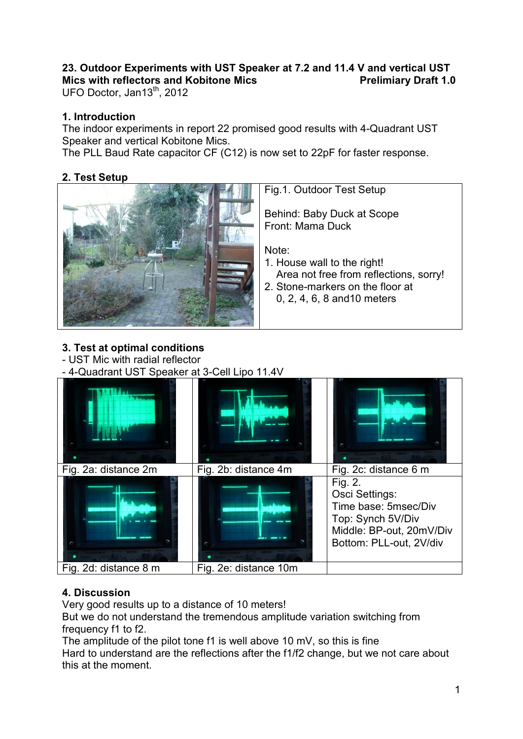## **23. Outdoor Experiments with UST Speaker at 7.2 and 11.4 V and vertical UST**  Mics with reflectors and Kobitone Mics **Prelimiary Draft 1.0**

UFO Doctor, Jan13<sup>th</sup>, 2012

#### **1. Introduction**

The indoor experiments in report 22 promised good results with 4-Quadrant UST Speaker and vertical Kobitone Mics.

The PLL Baud Rate capacitor CF (C12) is now set to 22pF for faster response.

### **2. Test Setup**



Fig.1. Outdoor Test Setup

Behind: Baby Duck at Scope Front: Mama Duck

Note:

- 1. House wall to the right! Area not free from reflections, sorry!
- 2. Stone-markers on the floor at 0, 2, 4, 6, 8 and10 meters

### **3. Test at optimal conditions**

- UST Mic with radial reflector

- 4-Quadrant UST Speaker at 3-Cell Lipo 11.4V



### **4. Discussion**

Very good results up to a distance of 10 meters!

But we do not understand the tremendous amplitude variation switching from frequency f1 to f2.

The amplitude of the pilot tone f1 is well above 10 mV, so this is fine Hard to understand are the reflections after the f1/f2 change, but we not care about this at the moment.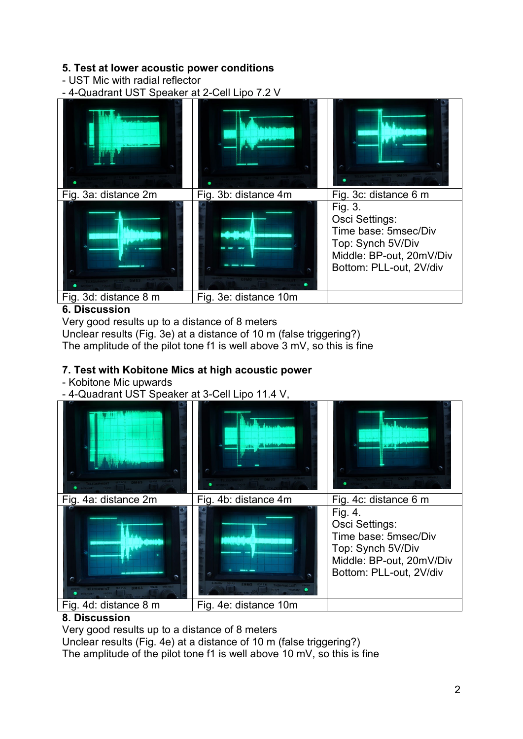## **5. Test at lower acoustic power conditions**

- UST Mic with radial reflector

- 4-Quadrant UST Speaker at 2-Cell Lipo 7.2 V



## **6. Discussion**

Very good results up to a distance of 8 meters Unclear results (Fig. 3e) at a distance of 10 m (false triggering?) The amplitude of the pilot tone f1 is well above 3 mV, so this is fine

# **7. Test with Kobitone Mics at high acoustic power**

### - Kobitone Mic upwards

- 4-Quadrant UST Speaker at 3-Cell Lipo 11.4 V,



## **8. Discussion**

Very good results up to a distance of 8 meters

Unclear results (Fig. 4e) at a distance of 10 m (false triggering?)

The amplitude of the pilot tone f1 is well above 10 mV, so this is fine